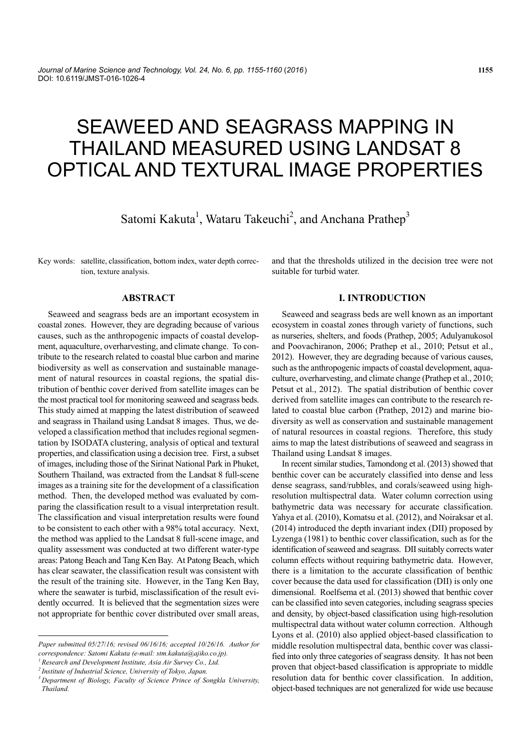# SEAWEED AND SEAGRASS MAPPING IN THAILAND MEASURED USING LANDSAT 8 OPTICAL AND TEXTURAL IMAGE PROPERTIES

Satomi Kakuta<sup>1</sup>, Wataru Takeuchi<sup>2</sup>, and Anchana Prathep<sup>3</sup>

Key words: satellite, classification, bottom index, water depth correction, texture analysis.

## **ABSTRACT**

Seaweed and seagrass beds are an important ecosystem in coastal zones. However, they are degrading because of various causes, such as the anthropogenic impacts of coastal development, aquaculture, overharvesting, and climate change. To contribute to the research related to coastal blue carbon and marine biodiversity as well as conservation and sustainable management of natural resources in coastal regions, the spatial distribution of benthic cover derived from satellite images can be the most practical tool for monitoring seaweed and seagrass beds. This study aimed at mapping the latest distribution of seaweed and seagrass in Thailand using Landsat 8 images. Thus, we developed a classification method that includes regional segmentation by ISODATA clustering, analysis of optical and textural properties, and classification using a decision tree. First, a subset of images, including those of the Sirinat National Park in Phuket, Southern Thailand, was extracted from the Landsat 8 full-scene images as a training site for the development of a classification method. Then, the developed method was evaluated by comparing the classification result to a visual interpretation result. The classification and visual interpretation results were found to be consistent to each other with a 98% total accuracy. Next, the method was applied to the Landsat 8 full-scene image, and quality assessment was conducted at two different water-type areas: Patong Beach and Tang Ken Bay. At Patong Beach, which has clear seawater, the classification result was consistent with the result of the training site. However, in the Tang Ken Bay, where the seawater is turbid, misclassification of the result evidently occurred. It is believed that the segmentation sizes were not appropriate for benthic cover distributed over small areas, and that the thresholds utilized in the decision tree were not suitable for turbid water.

# **I. INTRODUCTION**

Seaweed and seagrass beds are well known as an important ecosystem in coastal zones through variety of functions, such as nurseries, shelters, and foods (Prathep, 2005; Adulyanukosol and Poovachiranon, 2006; Prathep et al., 2010; Petsut et al., 2012). However, they are degrading because of various causes, such as the anthropogenic impacts of coastal development, aquaculture, overharvesting, and climate change (Prathep et al., 2010; Petsut et al., 2012). The spatial distribution of benthic cover derived from satellite images can contribute to the research related to coastal blue carbon (Prathep, 2012) and marine biodiversity as well as conservation and sustainable management of natural resources in coastal regions. Therefore, this study aims to map the latest distributions of seaweed and seagrass in Thailand using Landsat 8 images.

In recent similar studies, Tamondong et al. (2013) showed that benthic cover can be accurately classified into dense and less dense seagrass, sand/rubbles, and corals/seaweed using highresolution multispectral data. Water column correction using bathymetric data was necessary for accurate classification. Yahya et al. (2010), Komatsu et al. (2012), and Noiraksar et al. (2014) introduced the depth invariant index (DII) proposed by Lyzenga (1981) to benthic cover classification, such as for the identification of seaweed and seagrass. DII suitably corrects water column effects without requiring bathymetric data. However, there is a limitation to the accurate classification of benthic cover because the data used for classification (DII) is only one dimensional. Roelfsema et al. (2013) showed that benthic cover can be classified into seven categories, including seagrass species and density, by object-based classification using high-resolution multispectral data without water column correction. Although Lyons et al. (2010) also applied object-based classification to middle resolution multispectral data, benthic cover was classified into only three categories of seagrass density. It has not been proven that object-based classification is appropriate to middle resolution data for benthic cover classification. In addition, object-based techniques are not generalized for wide use because

*Paper submitted 05*/*27*/*16; revised 06*/*16*/*16; accepted 10*/*26*/*16. Author for correspondence: Satomi Kakuta (e-mail: stm.kakuta@ajiko.co.jp). 1 Research and Development Institute, Asia Air Survey Co., Ltd.* 

*<sup>2</sup> Institute of Industrial Science, University of Tokyo, Japan. 3 Department of Biology, Faculty of Science Prince of Songkla University,* 

*Thailand.*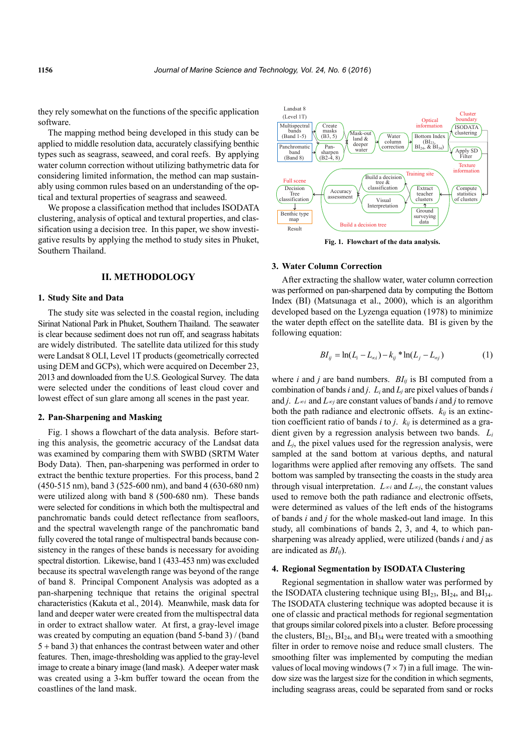they rely somewhat on the functions of the specific application software.

The mapping method being developed in this study can be applied to middle resolution data, accurately classifying benthic types such as seagrass, seaweed, and coral reefs. By applying water column correction without utilizing bathymetric data for considering limited information, the method can map sustainably using common rules based on an understanding of the optical and textural properties of seagrass and seaweed.

We propose a classification method that includes ISODATA clustering, analysis of optical and textural properties, and classification using a decision tree. In this paper, we show investigative results by applying the method to study sites in Phuket, Southern Thailand.

## **II. METHODOLOGY**

## **1. Study Site and Data**

The study site was selected in the coastal region, including Sirinat National Park in Phuket, Southern Thailand. The seawater is clear because sediment does not run off, and seagrass habitats are widely distributed. The satellite data utilized for this study were Landsat 8 OLI, Level 1T products (geometrically corrected using DEM and GCPs), which were acquired on December 23, 2013 and downloaded from the U.S. Geological Survey. The data were selected under the conditions of least cloud cover and lowest effect of sun glare among all scenes in the past year.

#### **2. Pan-Sharpening and Masking**

Fig. 1 shows a flowchart of the data analysis. Before starting this analysis, the geometric accuracy of the Landsat data was examined by comparing them with SWBD (SRTM Water Body Data). Then, pan-sharpening was performed in order to extract the benthic texture properties. For this process, band 2 (450-515 nm), band 3 (525-600 nm), and band 4 (630-680 nm) were utilized along with band 8 (500-680 nm). These bands were selected for conditions in which both the multispectral and panchromatic bands could detect reflectance from seafloors, and the spectral wavelength range of the panchromatic band fully covered the total range of multispectral bands because consistency in the ranges of these bands is necessary for avoiding spectral distortion. Likewise, band 1 (433-453 nm) was excluded because its spectral wavelength range was beyond of the range of band 8. Principal Component Analysis was adopted as a pan-sharpening technique that retains the original spectral characteristics (Kakuta et al., 2014). Meanwhile, mask data for land and deeper water were created from the multispectral data in order to extract shallow water. At first, a gray-level image was created by computing an equation (band 5-band 3) / (band  $5 +$  band 3) that enhances the contrast between water and other features. Then, image-thresholding was applied to the gray-level image to create a binary image (land mask). A deeper water mask was created using a 3-km buffer toward the ocean from the coastlines of the land mask.



**Fig. 1. Flowchart of the data analysis.** 

#### **3. Water Column Correction**

After extracting the shallow water, water column correction was performed on pan-sharpened data by computing the Bottom Index (BI) (Matsunaga et al., 2000), which is an algorithm developed based on the Lyzenga equation (1978) to minimize the water depth effect on the satellite data. BI is given by the following equation:

$$
BI_{ij} = \ln(L_i - L_{\infty i}) - k_{ij} * \ln(L_i - L_{\infty j})
$$
 (1)

where *i* and *j* are band numbers.  $BI_{ij}$  is BI computed from a combination of bands *i* and *j*. *Li* and *Lj* are pixel values of bands *i* and *j*.  $L_{\infty i}$  and  $L_{\infty j}$  are constant values of bands *i* and *j* to remove both the path radiance and electronic offsets.  $k_{ij}$  is an extinction coefficient ratio of bands *i* to *j*. *kij* is determined as a gradient given by a regression analysis between two bands. *Li* and *Lj*, the pixel values used for the regression analysis, were sampled at the sand bottom at various depths, and natural logarithms were applied after removing any offsets. The sand bottom was sampled by transecting the coasts in the study area through visual interpretation.  $L_{\infty i}$  and  $L_{\infty j}$ , the constant values used to remove both the path radiance and electronic offsets, were determined as values of the left ends of the histograms of bands *i* and *j* for the whole masked-out land image. In this study, all combinations of bands 2, 3, and 4, to which pansharpening was already applied, were utilized (bands *i* and *j* as are indicated as *BIij*).

#### **4. Regional Segmentation by ISODATA Clustering**

Regional segmentation in shallow water was performed by the ISODATA clustering technique using  $BI<sub>23</sub>$ ,  $BI<sub>24</sub>$ , and  $BI<sub>34</sub>$ . The ISODATA clustering technique was adopted because it is one of classic and practical methods for regional segmentation that groups similar colored pixels into a cluster. Before processing the clusters,  $BI_{23}$ ,  $BI_{24}$ , and  $BI_{34}$  were treated with a smoothing filter in order to remove noise and reduce small clusters. The smoothing filter was implemented by computing the median values of local moving windows ( $7 \times 7$ ) in a full image. The window size was the largest size for the condition in which segments, including seagrass areas, could be separated from sand or rocks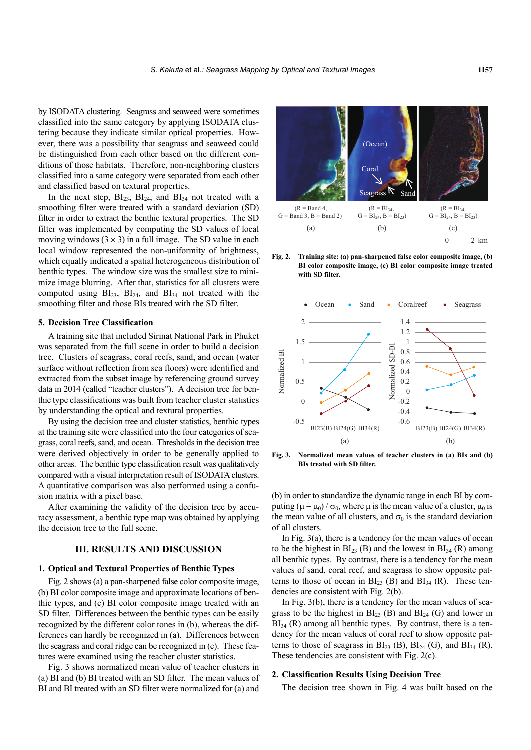by ISODATA clustering. Seagrass and seaweed were sometimes classified into the same category by applying ISODATA clustering because they indicate similar optical properties. However, there was a possibility that seagrass and seaweed could be distinguished from each other based on the different conditions of those habitats. Therefore, non-neighboring clusters classified into a same category were separated from each other and classified based on textural properties.

In the next step,  $BI_{23}$ ,  $BI_{24}$ , and  $BI_{34}$  not treated with a smoothing filter were treated with a standard deviation (SD) filter in order to extract the benthic textural properties. The SD filter was implemented by computing the SD values of local moving windows  $(3 \times 3)$  in a full image. The SD value in each local window represented the non-uniformity of brightness, which equally indicated a spatial heterogeneous distribution of benthic types. The window size was the smallest size to minimize image blurring. After that, statistics for all clusters were computed using  $BI<sub>23</sub>$ ,  $BI<sub>24</sub>$ , and  $BI<sub>34</sub>$  not treated with the smoothing filter and those BIs treated with the SD filter.

## **5. Decision Tree Classification**

A training site that included Sirinat National Park in Phuket was separated from the full scene in order to build a decision tree. Clusters of seagrass, coral reefs, sand, and ocean (water surface without reflection from sea floors) were identified and extracted from the subset image by referencing ground survey data in 2014 (called "teacher clusters"). A decision tree for benthic type classifications was built from teacher cluster statistics by understanding the optical and textural properties.

By using the decision tree and cluster statistics, benthic types at the training site were classified into the four categories of seagrass, coral reefs, sand, and ocean. Thresholds in the decision tree were derived objectively in order to be generally applied to other areas. The benthic type classification result was qualitatively compared with a visual interpretation result of ISODATA clusters. A quantitative comparison was also performed using a confusion matrix with a pixel base.

After examining the validity of the decision tree by accuracy assessment, a benthic type map was obtained by applying the decision tree to the full scene.

## **III. RESULTS AND DISCUSSION**

## **1. Optical and Textural Properties of Benthic Types**

Fig. 2 shows (a) a pan-sharpened false color composite image, (b) BI color composite image and approximate locations of benthic types, and (c) BI color composite image treated with an SD filter. Differences between the benthic types can be easily recognized by the different color tones in (b), whereas the differences can hardly be recognized in (a). Differences between the seagrass and coral ridge can be recognized in (c). These features were examined using the teacher cluster statistics.

Fig. 3 shows normalized mean value of teacher clusters in (a) BI and (b) BI treated with an SD filter. The mean values of BI and BI treated with an SD filter were normalized for (a) and



**Fig. 2. Training site: (a) pan-sharpened false color composite image, (b) BI color composite image, (c) BI color composite image treated with SD filter.** 



**Fig. 3. Normalized mean values of teacher clusters in (a) BIs and (b) BIs treated with SD filter.** 

(b) in order to standardize the dynamic range in each BI by computing  $(\mu - \mu_0) / \sigma_0$ , where  $\mu$  is the mean value of a cluster,  $\mu_0$  is the mean value of all clusters, and  $\sigma_0$  is the standard deviation of all clusters.

In Fig.  $3(a)$ , there is a tendency for the mean values of ocean to be the highest in  $BI_{23}$  (B) and the lowest in  $BI_{34}$  (R) among all benthic types. By contrast, there is a tendency for the mean values of sand, coral reef, and seagrass to show opposite patterns to those of ocean in  $BI_{23}$  (B) and  $BI_{34}$  (R). These tendencies are consistent with Fig. 2(b).

In Fig. 3(b), there is a tendency for the mean values of seagrass to be the highest in  $\text{BI}_{23}$  (B) and  $\text{BI}_{24}$  (G) and lower in  $BI<sub>34</sub>$  (R) among all benthic types. By contrast, there is a tendency for the mean values of coral reef to show opposite patterns to those of seagrass in  $\text{BI}_{23}$  (B),  $\text{BI}_{24}$  (G), and  $\text{BI}_{34}$  (R). These tendencies are consistent with Fig. 2(c).

#### **2. Classification Results Using Decision Tree**

The decision tree shown in Fig. 4 was built based on the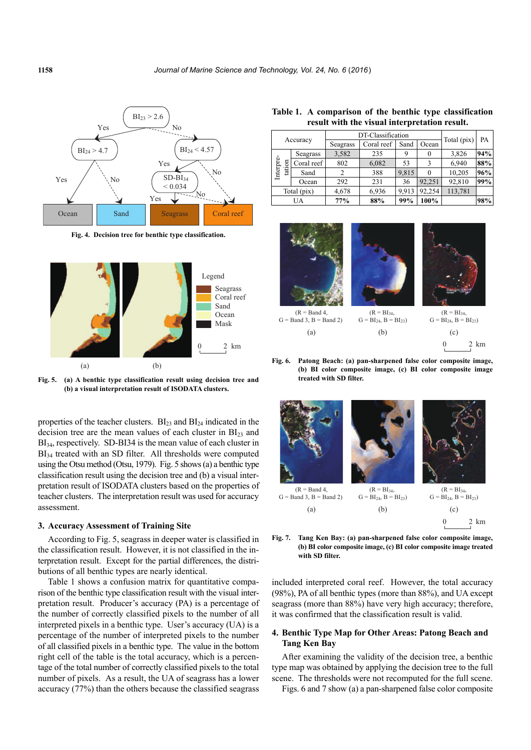

**Fig. 4. Decision tree for benthic type classification.** 



**Fig. 5. (a) A benthic type classification result using decision tree and (b) a visual interpretation result of ISODATA clusters.** 

properties of the teacher clusters.  $BI<sub>23</sub>$  and  $BI<sub>24</sub>$  indicated in the decision tree are the mean values of each cluster in  $BI<sub>23</sub>$  and BI<sub>34</sub>, respectively. SD-BI34 is the mean value of each cluster in BI<sub>34</sub> treated with an SD filter. All thresholds were computed using the Otsu method (Otsu, 1979). Fig. 5 shows (a) a benthic type classification result using the decision tree and (b) a visual interpretation result of ISODATA clusters based on the properties of teacher clusters. The interpretation result was used for accuracy assessment.

#### **3. Accuracy Assessment of Training Site**

According to Fig. 5, seagrass in deeper water is classified in the classification result. However, it is not classified in the interpretation result. Except for the partial differences, the distributions of all benthic types are nearly identical.

Table 1 shows a confusion matrix for quantitative comparison of the benthic type classification result with the visual interpretation result. Producer's accuracy (PA) is a percentage of the number of correctly classified pixels to the number of all interpreted pixels in a benthic type. User's accuracy (UA) is a percentage of the number of interpreted pixels to the number of all classified pixels in a benthic type. The value in the bottom right cell of the table is the total accuracy, which is a percentage of the total number of correctly classified pixels to the total number of pixels. As a result, the UA of seagrass has a lower accuracy (77%) than the others because the classified seagrass

**Table 1. A comparison of the benthic type classification result with the visual interpretation result.** 

| Accuracy            |            | DT-Classification |            |       |        | Total (pix) | PA  |
|---------------------|------------|-------------------|------------|-------|--------|-------------|-----|
|                     |            | Seagrass          | Coral reef | Sand  | Ocean  |             |     |
| Interpre-<br>tation | Seagrass   | 3,582             | 235        |       | 0      | 3,826       | 94% |
|                     | Coral reef | 802               | 6,082      | 53    |        | 6,940       | 88% |
|                     | Sand       |                   | 388        | 9.815 |        | 10,205      | 96% |
|                     | Ocean      | 292               | 231        | 36    | 92,251 | 92,810      | 99% |
| Total (pix)         |            | 4,678             | 6,936      | 9.913 | 92.254 | 113,781     |     |
| UA                  |            | 77%               | 88%        | 99%   | 100%   |             | 98% |





0 2 km (a) (b) (c)  $(R = BI_{34},$  $G = BI_{24}$ ,  $B = BI_{23}$ 

**Fig. 6. Patong Beach: (a) pan-sharpened false color composite image, (b) BI color composite image, (c) BI color composite image treated with SD filter.** 



**Fig. 7. Tang Ken Bay: (a) pan-sharpened false color composite image, (b) BI color composite image, (c) BI color composite image treated with SD filter.** 

included interpreted coral reef. However, the total accuracy (98%), PA of all benthic types (more than 88%), and UA except seagrass (more than 88%) have very high accuracy; therefore, it was confirmed that the classification result is valid.

## **4. Benthic Type Map for Other Areas: Patong Beach and Tang Ken Bay**

After examining the validity of the decision tree, a benthic type map was obtained by applying the decision tree to the full scene. The thresholds were not recomputed for the full scene.

Figs. 6 and 7 show (a) a pan-sharpened false color composite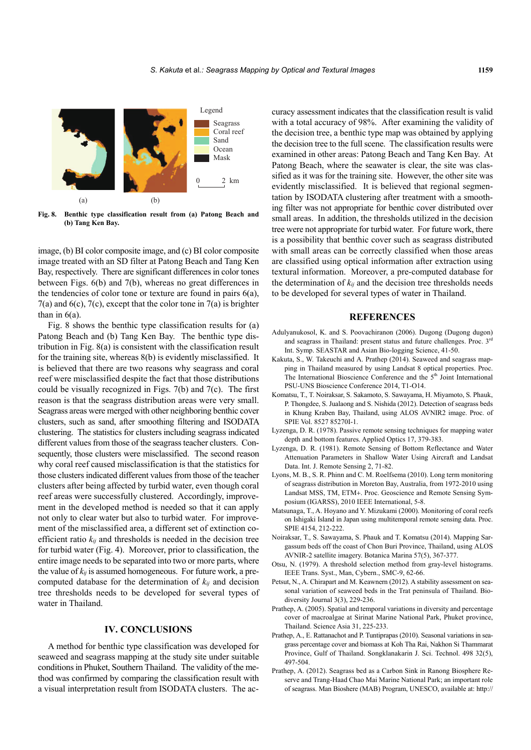

**Fig. 8. Benthic type classification result from (a) Patong Beach and (b) Tang Ken Bay.** 

image, (b) BI color composite image, and (c) BI color composite image treated with an SD filter at Patong Beach and Tang Ken Bay, respectively. There are significant differences in color tones between Figs. 6(b) and 7(b), whereas no great differences in the tendencies of color tone or texture are found in pairs 6(a),  $7(a)$  and  $6(c)$ ,  $7(c)$ , except that the color tone in  $7(a)$  is brighter than in  $6(a)$ .

Fig. 8 shows the benthic type classification results for (a) Patong Beach and (b) Tang Ken Bay. The benthic type distribution in Fig. 8(a) is consistent with the classification result for the training site, whereas 8(b) is evidently misclassified. It is believed that there are two reasons why seagrass and coral reef were misclassified despite the fact that those distributions could be visually recognized in Figs. 7(b) and 7(c). The first reason is that the seagrass distribution areas were very small. Seagrass areas were merged with other neighboring benthic cover clusters, such as sand, after smoothing filtering and ISODATA clustering. The statistics for clusters including seagrass indicated different values from those of the seagrass teacher clusters. Consequently, those clusters were misclassified. The second reason why coral reef caused misclassification is that the statistics for those clusters indicated different values from those of the teacher clusters after being affected by turbid water, even though coral reef areas were successfully clustered. Accordingly, improvement in the developed method is needed so that it can apply not only to clear water but also to turbid water. For improvement of the misclassified area, a different set of extinction coefficient ratio *kij* and thresholds is needed in the decision tree for turbid water (Fig. 4). Moreover, prior to classification, the entire image needs to be separated into two or more parts, where the value of *kij* is assumed homogeneous. For future work, a precomputed database for the determination of *kij* and decision tree thresholds needs to be developed for several types of water in Thailand.

## **IV. CONCLUSIONS**

A method for benthic type classification was developed for seaweed and seagrass mapping at the study site under suitable conditions in Phuket, Southern Thailand. The validity of the method was confirmed by comparing the classification result with a visual interpretation result from ISODATA clusters. The accuracy assessment indicates that the classification result is valid with a total accuracy of 98%. After examining the validity of the decision tree, a benthic type map was obtained by applying the decision tree to the full scene. The classification results were examined in other areas: Patong Beach and Tang Ken Bay. At Patong Beach, where the seawater is clear, the site was classified as it was for the training site. However, the other site was evidently misclassified. It is believed that regional segmentation by ISODATA clustering after treatment with a smoothing filter was not appropriate for benthic cover distributed over small areas. In addition, the thresholds utilized in the decision tree were not appropriate for turbid water. For future work, there is a possibility that benthic cover such as seagrass distributed with small areas can be correctly classified when those areas are classified using optical information after extraction using textural information. Moreover, a pre-computed database for the determination of  $k_{ij}$  and the decision tree thresholds needs to be developed for several types of water in Thailand.

## **REFERENCES**

- Adulyanukosol, K. and S. Poovachiranon (2006). Dugong (Dugong dugon) and seagrass in Thailand: present status and future challenges. Proc.  $3^{rd}$ Int. Symp. SEASTAR and Asian Bio-logging Science, 41-50.
- Kakuta, S., W. Takeuchi and A. Prathep (2014). Seaweed and seagrass mapping in Thailand measured by using Landsat 8 optical properties. Proc. The International Bioscience Conference and the  $5<sup>th</sup>$  Joint International PSU-UNS Bioscience Conference 2014, T1-O14.
- Komatsu, T., T. Noiraksar, S. Sakamoto, S. Sawayama, H. Miyamoto, S. Phauk, P. Thongdee, S. Jualaong and S. Nishida (2012). Detection of seagrass beds in Khung Kraben Bay, Thailand, using ALOS AVNIR2 image. Proc. of SPIE Vol. 8527 85270I-1.
- Lyzenga, D. R. (1978). Passive remote sensing techniques for mapping water depth and bottom features. Applied Optics 17, 379-383.
- Lyzenga, D. R. (1981). Remote Sensing of Bottom Reflectance and Water Attenuation Parameters in Shallow Water Using Aircraft and Landsat Data. Int. J. Remote Sensing 2, 71-82.
- Lyons, M. B., S. R. Phinn and C. M. Roelfsema (2010). Long term monitoring of seagrass distribution in Moreton Bay, Australia, from 1972-2010 using Landsat MSS, TM, ETM+. Proc. Geoscience and Remote Sensing Symposium (IGARSS), 2010 IEEE International, 5-8.
- Matsunaga, T., A. Hoyano and Y. Mizukami (2000). Monitoring of coral reefs on Ishigaki Island in Japan using multitemporal remote sensing data. Proc. SPIE 4154, 212-222.
- Noiraksar, T., S. Sawayama, S. Phauk and T. Komatsu (2014). Mapping Sargassum beds off the coast of Chon Buri Province, Thailand, using ALOS AVNIR-2 satellite imagery. Botanica Marina 57(5), 367-377.
- Otsu, N. (1979). A threshold selection method from gray-level histograms. IEEE Trans. Syst., Man, Cybern., SMC-9, 62-66.
- Petsut, N., A. Chirapart and M. Keawnern (2012). A stability assessment on seasonal variation of seaweed beds in the Trat peninsula of Thailand. Biodiversity Journal 3(3), 229-236.
- Prathep, A. (2005). Spatial and temporal variations in diversity and percentage cover of macroalgae at Sirinat Marine National Park, Phuket province, Thailand. Science Asia 31, 225-233.
- Prathep, A., E. Rattanachot and P. Tuntiprapas (2010). Seasonal variations in seagrass percentage cover and biomass at Koh Tha Rai, Nakhon Si Thammarat Province, Gulf of Thailand. Songklanakarin J. Sci. Technol. 498 32(5), 497-504.
- Prathep, A. (2012). Seagrass bed as a Carbon Sink in Ranong Biosphere Reserve and Trang-Haad Chao Mai Marine National Park; an important role of seagrass. Man Bioshere (MAB) Program, UNESCO, available at: http://